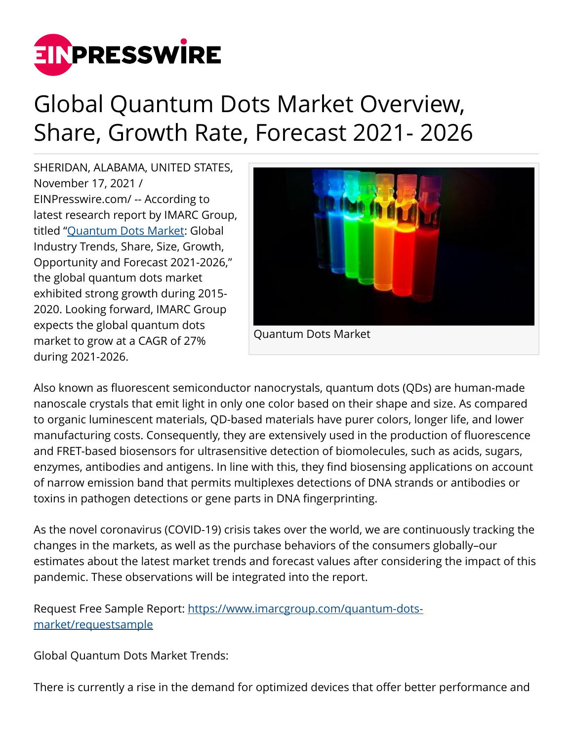

## Global Quantum Dots Market Overview, Share, Growth Rate, Forecast 2021- 2026

SHERIDAN, ALABAMA, UNITED STATES, November 17, 2021 / [EINPresswire.com](http://www.einpresswire.com)/ -- According to latest research report by IMARC Group, titled "[Quantum Dots Market:](https://www.imarcgroup.com/quantum-dots-market) Global Industry Trends, Share, Size, Growth, Opportunity and Forecast 2021-2026," the global quantum dots market exhibited strong growth during 2015- 2020. Looking forward, IMARC Group expects the global quantum dots market to grow at a CAGR of 27% during 2021-2026.



Also known as fluorescent semiconductor nanocrystals, quantum dots (QDs) are human-made nanoscale crystals that emit light in only one color based on their shape and size. As compared to organic luminescent materials, QD-based materials have purer colors, longer life, and lower manufacturing costs. Consequently, they are extensively used in the production of fluorescence and FRET-based biosensors for ultrasensitive detection of biomolecules, such as acids, sugars, enzymes, antibodies and antigens. In line with this, they find biosensing applications on account of narrow emission band that permits multiplexes detections of DNA strands or antibodies or toxins in pathogen detections or gene parts in DNA fingerprinting.

As the novel coronavirus (COVID-19) crisis takes over the world, we are continuously tracking the changes in the markets, as well as the purchase behaviors of the consumers globally–our estimates about the latest market trends and forecast values after considering the impact of this pandemic. These observations will be integrated into the report.

Request Free Sample Report: [https://www.imarcgroup.com/quantum-dots](https://www.imarcgroup.com/quantum-dots-market/requestsample)[market/requestsample](https://www.imarcgroup.com/quantum-dots-market/requestsample)

Global Quantum Dots Market Trends:

There is currently a rise in the demand for optimized devices that offer better performance and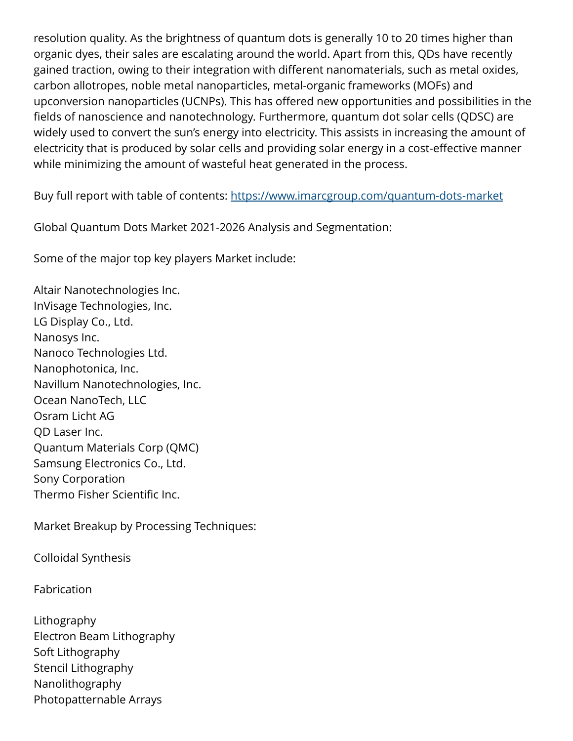resolution quality. As the brightness of quantum dots is generally 10 to 20 times higher than organic dyes, their sales are escalating around the world. Apart from this, QDs have recently gained traction, owing to their integration with different nanomaterials, such as metal oxides, carbon allotropes, noble metal nanoparticles, metal-organic frameworks (MOFs) and upconversion nanoparticles (UCNPs). This has offered new opportunities and possibilities in the fields of nanoscience and nanotechnology. Furthermore, quantum dot solar cells (QDSC) are widely used to convert the sun's energy into electricity. This assists in increasing the amount of electricity that is produced by solar cells and providing solar energy in a cost-effective manner while minimizing the amount of wasteful heat generated in the process.

Buy full report with table of contents: <https://www.imarcgroup.com/quantum-dots-market>

Global Quantum Dots Market 2021-2026 Analysis and Segmentation:

Some of the major top key players Market include:

Altair Nanotechnologies Inc. InVisage Technologies, Inc. LG Display Co., Ltd. Nanosys Inc. Nanoco Technologies Ltd. Nanophotonica, Inc. Navillum Nanotechnologies, Inc. Ocean NanoTech, LLC Osram Licht AG QD Laser Inc. Quantum Materials Corp (QMC) Samsung Electronics Co., Ltd. Sony Corporation Thermo Fisher Scientific Inc.

Market Breakup by Processing Techniques:

Colloidal Synthesis

Fabrication

Lithography Electron Beam Lithography Soft Lithography Stencil Lithography Nanolithography Photopatternable Arrays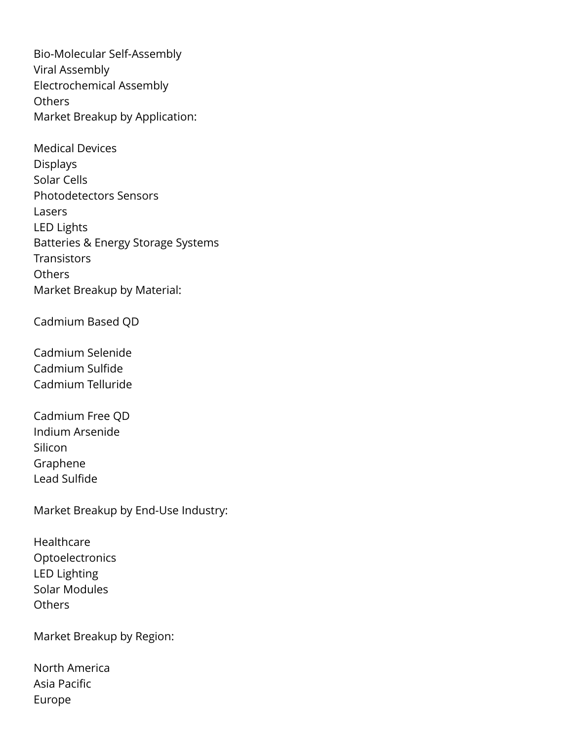Bio-Molecular Self-Assembly Viral Assembly Electrochemical Assembly **Others** Market Breakup by Application:

Medical Devices Displays Solar Cells Photodetectors Sensors Lasers LED Lights Batteries & Energy Storage Systems **Transistors Others** Market Breakup by Material:

Cadmium Based QD

Cadmium Selenide Cadmium Sulfide Cadmium Telluride

Cadmium Free QD Indium Arsenide Silicon Graphene Lead Sulfide

Market Breakup by End-Use Industry:

Healthcare Optoelectronics LED Lighting Solar Modules **Others** 

Market Breakup by Region:

North America Asia Pacific Europe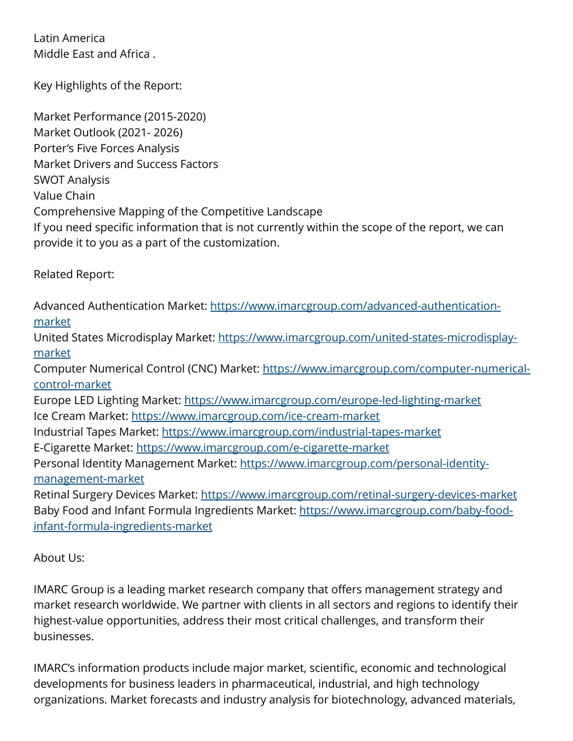Latin America Middle East and Africa .

Key Highlights of the Report:

Market Performance (2015-2020) Market Outlook (2021- 2026) Porter's Five Forces Analysis Market Drivers and Success Factors SWOT Analysis Value Chain Comprehensive Mapping of the Competitive Landscape If you need specific information that is not currently within the scope of the report, we can provide it to you as a part of the customization.

Related Report:

Advanced Authentication Market: [https://www.imarcgroup.com/advanced-authentication](https://www.imarcgroup.com/advanced-authentication-market)[market](https://www.imarcgroup.com/advanced-authentication-market)

United States Microdisplay Market: [https://www.imarcgroup.com/united-states-microdisplay](https://www.imarcgroup.com/united-states-microdisplay-market)[market](https://www.imarcgroup.com/united-states-microdisplay-market)

Computer Numerical Control (CNC) Market: [https://www.imarcgroup.com/computer-numerical](https://www.imarcgroup.com/computer-numerical-control-market)[control-market](https://www.imarcgroup.com/computer-numerical-control-market)

Europe LED Lighting Market:<https://www.imarcgroup.com/europe-led-lighting-market> Ice Cream Market:<https://www.imarcgroup.com/ice-cream-market>

Industrial Tapes Market:<https://www.imarcgroup.com/industrial-tapes-market>

E-Cigarette Market: <https://www.imarcgroup.com/e-cigarette-market>

Personal Identity Management Market: [https://www.imarcgroup.com/personal-identity](https://www.imarcgroup.com/personal-identity-management-market)[management-market](https://www.imarcgroup.com/personal-identity-management-market)

Retinal Surgery Devices Market: <https://www.imarcgroup.com/retinal-surgery-devices-market> Baby Food and Infant Formula Ingredients Market: [https://www.imarcgroup.com/baby-food](https://www.imarcgroup.com/baby-food-infant-formula-ingredients-market)[infant-formula-ingredients-market](https://www.imarcgroup.com/baby-food-infant-formula-ingredients-market)

About Us:

IMARC Group is a leading market research company that offers management strategy and market research worldwide. We partner with clients in all sectors and regions to identify their highest-value opportunities, address their most critical challenges, and transform their businesses.

IMARC's information products include major market, scientific, economic and technological developments for business leaders in pharmaceutical, industrial, and high technology organizations. Market forecasts and industry analysis for biotechnology, advanced materials,